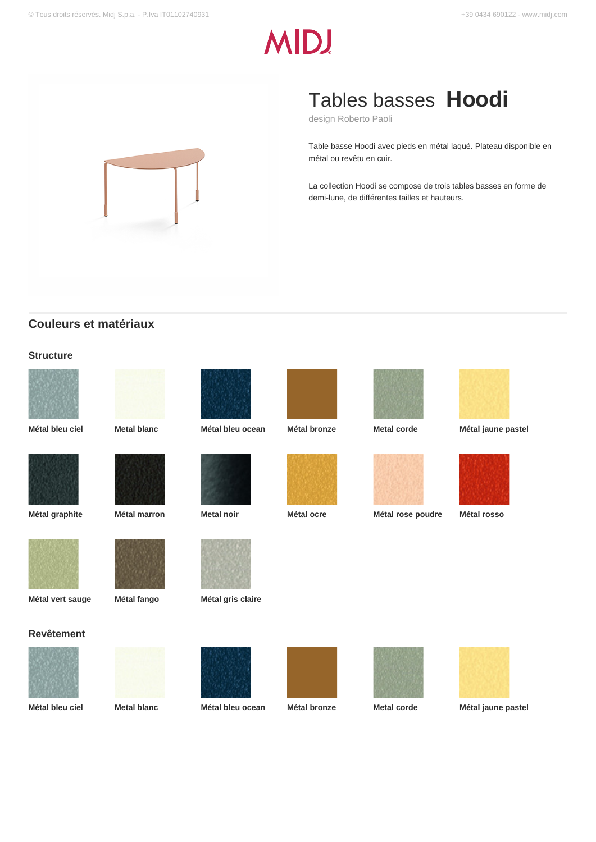# **MDJ**



# Tables basses **Hoodi**

design Roberto Paoli

Table basse Hoodi avec pieds en métal laqué. Plateau disponible en métal ou revêtu en cuir.

La collection Hoodi se compose de trois tables basses en forme de demi-lune, de différentes tailles et hauteurs.

## **Couleurs et matériaux**

#### **Structure**















**Métal bleu ciel Metal blanc Métal bleu ocean Métal bronze Metal corde Métal jaune pastel**









**Métal vert sauge Métal fango Métal gris claire**

#### **Revêtement**















**Métal bleu ciel Metal blanc Métal bleu ocean Métal bronze Metal corde Métal jaune pastel**







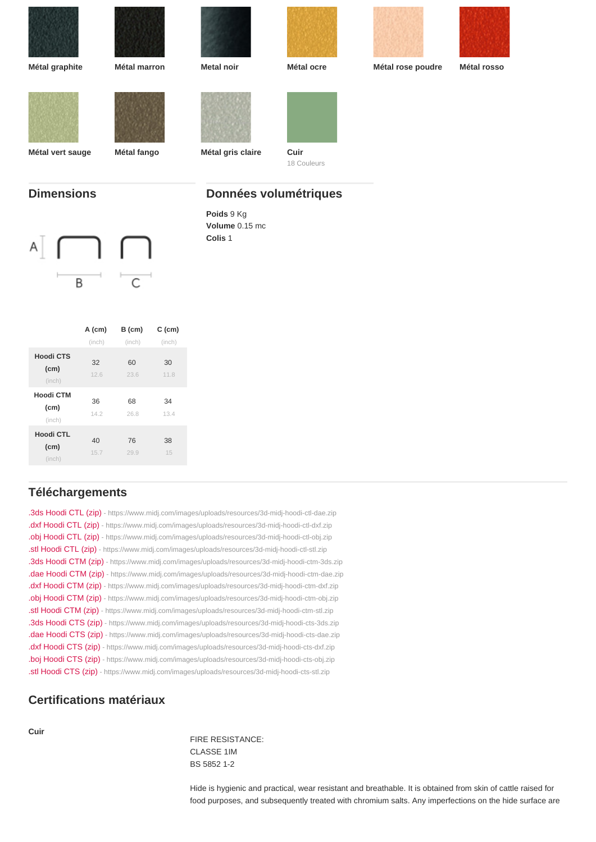| Métal graphite    | Métal marron | Metal noir            | Métal ocre  | Métal rose poudre | Métal rosso |
|-------------------|--------------|-----------------------|-------------|-------------------|-------------|
|                   |              |                       |             |                   |             |
|                   |              |                       |             |                   |             |
|                   |              |                       |             |                   |             |
|                   |              |                       |             |                   |             |
|                   |              |                       |             |                   |             |
| Métal vert sauge  | Métal fango  | Métal gris claire     | Cuir        |                   |             |
|                   |              |                       | 18 Couleurs |                   |             |
|                   |              |                       |             |                   |             |
| <b>Dimensions</b> |              | Données volumétriques |             |                   |             |
|                   |              | Poids 9 Kg            |             |                   |             |
|                   |              | Volume 0.15 mc        |             |                   |             |
|                   |              | Colis 1               |             |                   |             |
|                   |              |                       |             |                   |             |

|                             | A (cm)     | $B$ (cm)   | $C$ (cm)   |
|-----------------------------|------------|------------|------------|
|                             | (inch)     | (inch)     | (inch)     |
| Hoodi CTS<br>(cm)<br>(inch) | 32<br>12.6 | 60<br>23.6 | 30<br>11.8 |
| Hoodi CTM<br>(cm)<br>(inch) | 36<br>14.2 | 68<br>26.8 | 34<br>13.4 |
| Hoodi CTL<br>(cm)<br>(inch) | 40<br>15.7 | 76<br>29.9 | 38<br>15   |

# Téléchargements

| .3ds Hoodi CTL (zip) - https://www.midj.com/images/uploads/resources/3d-midj-hoodi-ctl-dae.zip |
|------------------------------------------------------------------------------------------------|
| .dxf Hoodi CTL (zip) - https://www.midj.com/images/uploads/resources/3d-midj-hoodi-ctl-dxf.zip |
| .obj Hoodi CTL (zip) - https://www.midj.com/images/uploads/resources/3d-midj-hoodi-ctl-obj.zip |
| .stl Hoodi CTL (zip) - https://www.midj.com/images/uploads/resources/3d-midj-hoodi-ctl-stl.zip |
| .3ds Hoodi CTM (zip) - https://www.midj.com/images/uploads/resources/3d-midj-hoodi-ctm-3ds.zip |
| .dae Hoodi CTM (zip) - https://www.midj.com/images/uploads/resources/3d-midj-hoodi-ctm-dae.zip |
| .dxf Hoodi CTM (zip) - https://www.midj.com/images/uploads/resources/3d-midj-hoodi-ctm-dxf.zip |
| .obj Hoodi CTM (zip) - https://www.midj.com/images/uploads/resources/3d-midj-hoodi-ctm-obj.zip |
| .stl Hoodi CTM (zip) - https://www.midj.com/images/uploads/resources/3d-midj-hoodi-ctm-stl.zip |
| .3ds Hoodi CTS (zip) - https://www.midj.com/images/uploads/resources/3d-midj-hoodi-cts-3ds.zip |
| .dae Hoodi CTS (zip) - https://www.midj.com/images/uploads/resources/3d-midj-hoodi-cts-dae.zip |
| .dxf Hoodi CTS (zip) - https://www.midj.com/images/uploads/resources/3d-midj-hoodi-cts-dxf.zip |
| .boj Hoodi CTS (zip) - https://www.midj.com/images/uploads/resources/3d-midj-hoodi-cts-obj.zip |
| .stl Hoodi CTS (zip) - https://www.midj.com/images/uploads/resources/3d-midj-hoodi-cts-stl.zip |

### Certifications matériaux

Cuir

FIRE RESISTANCE: CLASSE 1IM BS 5852 1-2

Hide is hygienic and practical, wear resistant and breathable. It is obtained from skin of cattle raised for food purposes, and subsequently treated with chromium salts. Any imperfections on the hide surface are